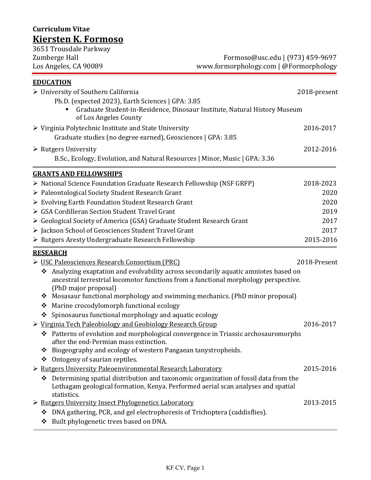# **Curriculum Vitae Kiersten K. Formoso**

| 3651 Trousdale Parkway                             |                                        |
|----------------------------------------------------|----------------------------------------|
| Zumberge Hall                                      | Formoso@usc.edu   (973) 459-9697       |
| Los Angeles, CA 90089                              | www.formorphology.com   @Formorphology |
| <b>EDUCATION</b>                                   |                                        |
| $\triangleright$ University of Southern California | 2018-present                           |
| Ph.D. (expected 2023), Earth Sciences   GPA: 3.85  |                                        |

| Graduate Student-in-Residence, Dinosaur Institute, Natural History Museum<br>$\blacksquare$<br>of Los Angeles County |           |
|----------------------------------------------------------------------------------------------------------------------|-----------|
| $\triangleright$ Virginia Polytechnic Institute and State University                                                 | 2016-2017 |
| Graduate studies (no degree earned), Geosciences   GPA: 3.85                                                         |           |
| $\triangleright$ Rutgers University                                                                                  | 2012-2016 |
| B.Sc., Ecology, Evolution, and Natural Resources   Minor, Music   GPA: 3.36                                          |           |
| <b>GRANTS AND FELLOWSHIPS</b>                                                                                        |           |
| $\triangleright$ National Science Foundation Graduate Research Fellowship (NSF GRFP)                                 | 2018-2023 |
| ▶ Paleontological Society Student Research Grant                                                                     | 2020      |
| $\triangleright$ Evolving Earth Foundation Student Research Grant                                                    | 2020      |
| $\triangleright$ GSA Cordilleran Section Student Travel Grant                                                        | 2019      |
| $\triangleright$ Geological Society of America (GSA) Graduate Student Research Grant                                 | 2017      |
| > Jackson School of Geosciences Student Travel Grant                                                                 | 2017      |
| $\triangleright$ Rutgers Aresty Undergraduate Research Fellowship                                                    | 2015-2016 |

# **RESEARCH**

- USC Paleosciences Research Consortium (PRC) 2018-Present
	- Analyzing exaptation and evolvability across secondarily aquatic amniotes based on ancestral terrestrial locomotor functions from a functional morphology perspective. (PhD major proposal)
	- \* Mosasaur functional morphology and swimming mechanics. (PhD minor proposal)
	- Marine crocodylomorph functional ecology
	- $\div$  Spinosaurus functional morphology and aquatic ecology
- Virginia Tech Paleobiology and Geobiology Research Group 2016-2017

- Patterns of evolution and morphological convergence in Triassic archosauromorphs after the end-Permian mass extinction.
- \* Biogeography and ecology of western Pangaean tanystropheids.
- Ontogeny of saurian reptiles.
- Rutgers University Paleoenvironmental Research Laboratory 2015-2016
	- $\triangle$  Determining spatial distribution and taxonomic organization of fossil data from the Lothagam geological formation, Kenya. Performed aerial scan analyses and spatial statistics.
- Rutgers University Insect Phylogenetics Laboratory 2013-2015
	- DNA gathering, PCR, and gel electrophoresis of Trichoptera (caddisflies).
	- ❖ Built phylogenetic trees based on DNA.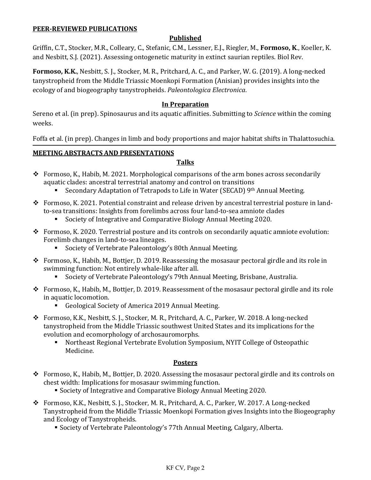#### **PEER-REVIEWED PUBLICATIONS**

## **Published**

Griffin, C.T., Stocker, M.R., Colleary, C., Stefanic, C.M., Lessner, E.J., Riegler, M., **Formoso, K**., Koeller, K. and Nesbitt, S.J. (2021). Assessing ontogenetic maturity in extinct saurian reptiles. Biol Rev.

**Formoso, K.K.**, Nesbitt, S. J., Stocker, M. R., Pritchard, A. C., and Parker, W. G. (2019). A long-necked tanystropheid from the Middle Triassic Moenkopi Formation (Anisian) provides insights into the ecology of and biogeography tanystropheids. *Paleontologica Electronica*.

#### **In Preparation**

Sereno et al. (in prep). Spinosaurus and its aquatic affinities. Submitting to *Science* within the coming weeks.

Foffa et al. (in prep). Changes in limb and body proportions and major habitat shifts in Thalattosuchia.

#### **MEETING ABSTRACTS AND PRESENTATIONS**

### **Talks**

- Formoso, K., Habib, M. 2021. Morphological comparisons of the arm bones across secondarily aquatic clades: ancestral terrestrial anatomy and control on transitions
	- Secondary Adaptation of Tetrapods to Life in Water (SECAD) 9th Annual Meeting.
- $\div$  Formoso, K. 2021. Potential constraint and release driven by ancestral terrestrial posture in landto-sea transitions: Insights from forelimbs across four land-to-sea amniote clades
	- Society of Integrative and Comparative Biology Annual Meeting 2020.
- Formoso, K. 2020. Terrestrial posture and its controls on secondarily aquatic amniote evolution: Forelimb changes in land-to-sea lineages.
	- Society of Vertebrate Paleontology's 80th Annual Meeting.
- $\hat{\mathbf{v}}$  Formoso, K., Habib, M., Bottjer, D. 2019. Reassessing the mosasaur pectoral girdle and its role in swimming function: Not entirely whale-like after all.
	- Society of Vertebrate Paleontology's 79th Annual Meeting, Brisbane, Australia.
- Formoso, K., Habib, M., Bottjer, D. 2019. Reassessment of the mosasaur pectoral girdle and its role in aquatic locomotion.
	- Geological Society of America 2019 Annual Meeting.
- Formoso, K.K., Nesbitt, S. J., Stocker, M. R., Pritchard, A. C., Parker, W. 2018. A long-necked tanystropheid from the Middle Triassic southwest United States and its implications for the evolution and ecomorphology of archosauromorphs.<br>Northeast Regional Vertebrate Evolution Sym
	- Northeast Regional Vertebrate Evolution Symposium, NYIT College of Osteopathic Medicine.

#### **Posters**

- Formoso, K., Habib, M., Bottjer, D. 2020. Assessing the mosasaur pectoral girdle and its controls on chest width: Implications for mosasaur swimming function.
	- Society of Integrative and Comparative Biology Annual Meeting 2020.
- Formoso, K.K., Nesbitt, S. J., Stocker, M. R., Pritchard, A. C., Parker, W. 2017. A Long-necked Tanystropheid from the Middle Triassic Moenkopi Formation gives Insights into the Biogeography and Ecology of Tanystropheids.
	- Society of Vertebrate Paleontology's 77th Annual Meeting, Calgary, Alberta.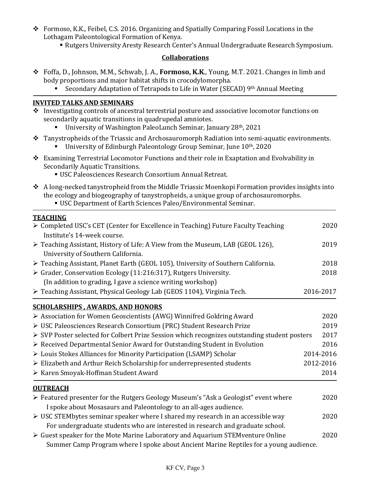- $\div$  Formoso, K.K., Feibel, C.S. 2016. Organizing and Spatially Comparing Fossil Locations in the Lothagam Paleontological Formation of Kenya.
	- Rutgers University Aresty Research Center's Annual Undergraduate Research Symposium.

## **Collaborations**

- Foffa, D., Johnson, M.M., Schwab, J. A., **Formoso, K.K**., Young, M.T. 2021. Changes in limb and body proportions and major habitat shifts in crocodylomorpha.<br>Secondary Adaptation of Tetranods to Life in Water (SEC
	- Secondary Adaptation of Tetrapods to Life in Water (SECAD) 9th Annual Meeting

# **INVITED TALKS AND SEMINARS**

- $\cdot$  Investigating controls of ancestral terrestrial posture and associative locomotor functions on secondarily aquatic transitions in quadrupedal amniotes.
	- University of Washington PaleoLunch Seminar, January 28th, 2021
- \* Tanystropheids of the Triassic and Archosauromorph Radiation into semi-aquatic environments.
	- University of Edinburgh Paleontology Group Seminar, June  $10<sup>th</sup>$ , 2020
- $\triangle$  Examining Terrestrial Locomotor Functions and their role in Exaptation and Evolvability in Secondarily Aquatic Transitions.
	- USC Paleosciences Research Consortium Annual Retreat.
- $\triangle$  A long-necked tanystropheid from the Middle Triassic Moenkopi Formation provides insights into the ecology and biogeography of tanystropheids, a unique group of archosauromorphs.
	- USC Department of Earth Sciences Paleo/Environmental Seminar.

# **TEACHING**

| > Completed USC's CET (Center for Excellence in Teaching) Future Faculty Teaching<br>Institute's 14-week course.                                                        | 2020      |
|-------------------------------------------------------------------------------------------------------------------------------------------------------------------------|-----------|
| > Teaching Assistant, History of Life: A View from the Museum, LAB (GEOL 126),<br>University of Southern California.                                                    | 2019      |
| > Teaching Assistant, Planet Earth (GEOL 105), University of Southern California.                                                                                       | 2018      |
| > Grader, Conservation Ecology (11:216:317), Rutgers University.                                                                                                        | 2018      |
| (In addition to grading, I gave a science writing workshop)                                                                                                             |           |
| > Teaching Assistant, Physical Geology Lab (GEOS 1104), Virginia Tech.                                                                                                  | 2016-2017 |
| <b>SCHOLARSHIPS, AWARDS, AND HONORS</b>                                                                                                                                 |           |
| > Association for Women Geoscientists (AWG) Winnifred Goldring Award                                                                                                    | 2020      |
| ▶ USC Paleosciences Research Consortium (PRC) Student Research Prize                                                                                                    | 2019      |
| ▶ SVP Poster selected for Colbert Prize Session which recognizes outstanding student posters                                                                            | 2017      |
| $\triangleright$ Received Departmental Senior Award for Outstanding Student in Evolution                                                                                | 2016      |
| ▶ Louis Stokes Alliances for Minority Participation (LSAMP) Scholar                                                                                                     | 2014-2016 |
| Elizabeth and Arthur Reich Scholarship for underrepresented students                                                                                                    | 2012-2016 |
| ≻ Karen Smoyak-Hoffman Student Award                                                                                                                                    | 2014      |
| <b>OUTREACH</b>                                                                                                                                                         |           |
| $\triangleright$ Featured presenter for the Rutgers Geology Museum's "Ask a Geologist" event where<br>I spoke about Mosasaurs and Paleontology to an all-ages audience. | 2020      |
| ▶ USC STEMbytes seminar speaker where I shared my research in an accessible way<br>For undergraduate students who are interested in research and graduate school.       | 2020      |
| > Guest speaker for the Mote Marine Laboratory and Aquarium STEMventure Online<br>Summer Camp Program where I spoke about Ancient Marine Reptiles for a young audience. | 2020      |